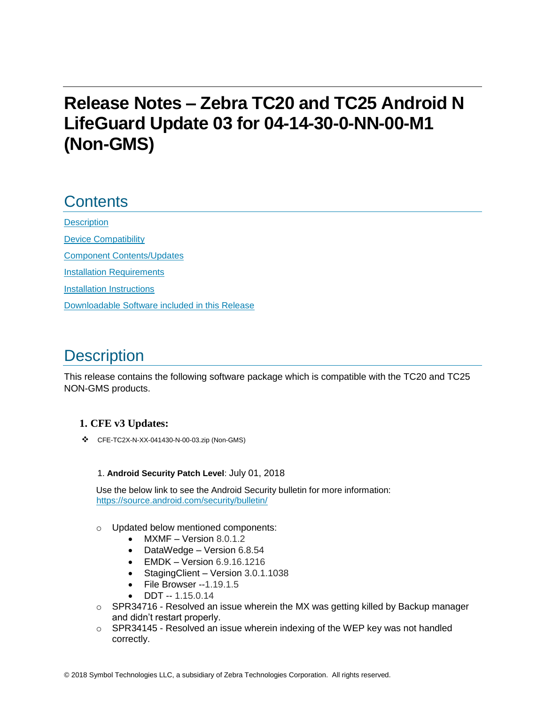# **Release Notes – Zebra TC20 and TC25 Android N LifeGuard Update 03 for 04-14-30-0-NN-00-M1 (Non-GMS)**

### **Contents**

**[Description](#page-0-0)** [Device Compatibility](#page-2-0) [Component Contents/Updates](#page-2-1) [Installation Requirements](#page-2-2) [Installation Instructions](#page-3-0) [Downloadable Software included in this Release](#page-5-0)

# <span id="page-0-0"></span>**Description**

This release contains the following software package which is compatible with the TC20 and TC25 NON-GMS products.

#### **1. CFE v3 Updates:**

❖ CFE-TC2X-N-XX-041430-N-00-03.zip (Non-GMS)

#### 1. **Android Security Patch Level**: July 01, 2018

Use the below link to see the Android Security bulletin for more information: <https://source.android.com/security/bulletin/>

- o Updated below mentioned components:
	- MXMF Version 8.0.1.2
	- DataWedge Version 6.8.54
	- EMDK Version 6.9.16.1216
	- Staging Client Version 3.0.1.1038
	- File Browser -- 1.19.1.5
	- $\bullet$  DDT -- 1.15.0.14
- $\circ$  SPR34716 Resolved an issue wherein the MX was getting killed by Backup manager and didn't restart properly.
- $\circ$  SPR34145 Resolved an issue wherein indexing of the WEP key was not handled correctly.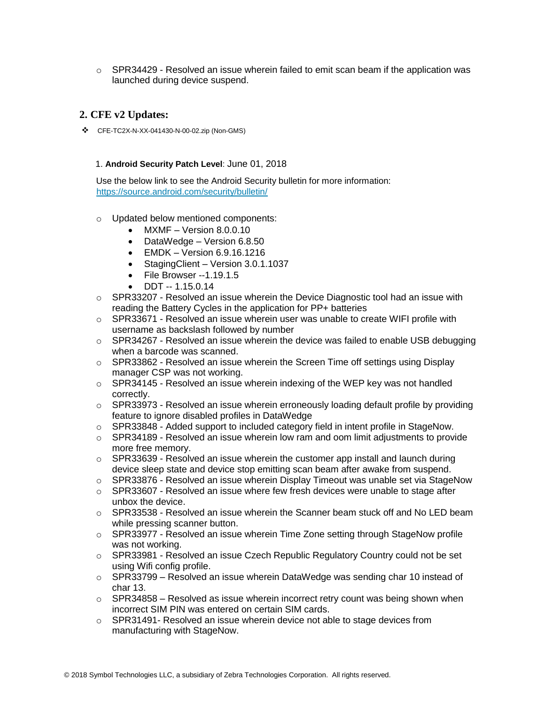$\circ$  SPR34429 - Resolved an issue wherein failed to emit scan beam if the application was launched during device suspend.

#### **2. CFE v2 Updates:**

❖ CFE-TC2X-N-XX-041430-N-00-02.zip (Non-GMS)

#### 1. **Android Security Patch Level**: June 01, 2018

Use the below link to see the Android Security bulletin for more information: <https://source.android.com/security/bulletin/>

- o Updated below mentioned components:
	- MXMF Version 8.0.0.10
	- DataWedge Version 6.8.50
	- EMDK Version 6.9.16.1216
	- StagingClient Version 3.0.1.1037
	- File Browser --1.19.1.5
	- DDT -- 1.15.0.14
- $\circ$  SPR33207 Resolved an issue wherein the Device Diagnostic tool had an issue with reading the Battery Cycles in the application for PP+ batteries
- $\circ$  SPR33671 Resolved an issue wherein user was unable to create WIFI profile with username as backslash followed by number
- $\circ$  SPR34267 Resolved an issue wherein the device was failed to enable USB debugging when a barcode was scanned.
- $\circ$  SPR33862 Resolved an issue wherein the Screen Time off settings using Display manager CSP was not working.
- $\circ$  SPR34145 Resolved an issue wherein indexing of the WEP key was not handled correctly.
- $\circ$  SPR33973 Resolved an issue wherein erroneously loading default profile by providing feature to ignore disabled profiles in DataWedge
- o SPR33848 Added support to included category field in intent profile in StageNow.
- $\circ$  SPR34189 Resolved an issue wherein low ram and oom limit adiustments to provide more free memory.
- $\circ$  SPR33639 Resolved an issue wherein the customer app install and launch during device sleep state and device stop emitting scan beam after awake from suspend.
- o SPR33876 Resolved an issue wherein Display Timeout was unable set via StageNow
- o SPR33607 Resolved an issue where few fresh devices were unable to stage after unbox the device.
- $\circ$  SPR33538 Resolved an issue wherein the Scanner beam stuck off and No LED beam while pressing scanner button.
- $\circ$  SPR33977 Resolved an issue wherein Time Zone setting through StageNow profile was not working.
- $\circ$  SPR33981 Resolved an issue Czech Republic Regulatory Country could not be set using Wifi config profile.
- $\circ$  SPR33799 Resolved an issue wherein DataWedge was sending char 10 instead of char 13.
- $\circ$  SPR34858 Resolved as issue wherein incorrect retry count was being shown when incorrect SIM PIN was entered on certain SIM cards.
- $\circ$  SPR31491- Resolved an issue wherein device not able to stage devices from manufacturing with StageNow.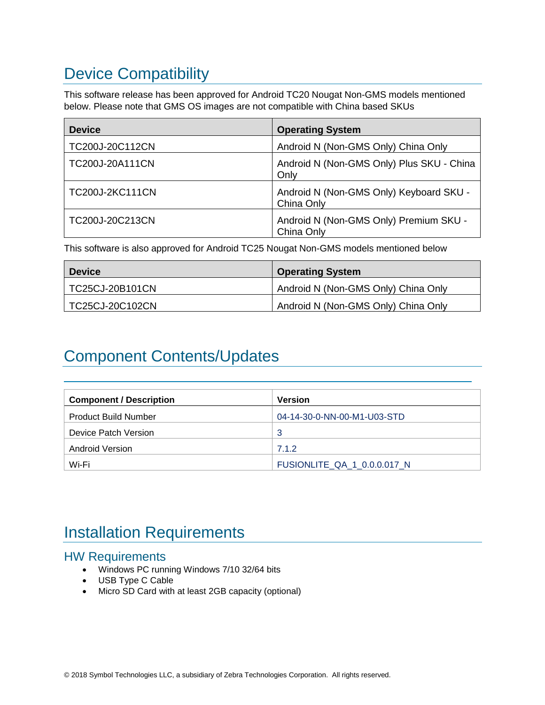# <span id="page-2-0"></span>Device Compatibility

This software release has been approved for Android TC20 Nougat Non-GMS models mentioned below. Please note that GMS OS images are not compatible with China based SKUs

| <b>Device</b>   | <b>Operating System</b>                               |
|-----------------|-------------------------------------------------------|
| TC200J-20C112CN | Android N (Non-GMS Only) China Only                   |
| TC200J-20A111CN | Android N (Non-GMS Only) Plus SKU - China<br>Only     |
| TC200J-2KC111CN | Android N (Non-GMS Only) Keyboard SKU -<br>China Only |
| TC200J-20C213CN | Android N (Non-GMS Only) Premium SKU -<br>China Only  |

This software is also approved for Android TC25 Nougat Non-GMS models mentioned below

| <b>Device</b>   | <b>Operating System</b>             |
|-----------------|-------------------------------------|
| TC25CJ-20B101CN | Android N (Non-GMS Only) China Only |
| TC25CJ-20C102CN | Android N (Non-GMS Only) China Only |

# <span id="page-2-1"></span>Component Contents/Updates

| <b>Component / Description</b> | <b>Version</b>              |
|--------------------------------|-----------------------------|
| <b>Product Build Number</b>    | 04-14-30-0-NN-00-M1-U03-STD |
| Device Patch Version           | 3                           |
| Android Version                | 7.1.2                       |
| Wi-Fi                          | FUSIONLITE QA 1 0.0.0.017 N |

# <span id="page-2-2"></span>Installation Requirements

#### HW Requirements

- Windows PC running Windows 7/10 32/64 bits
- USB Type C Cable
- Micro SD Card with at least 2GB capacity (optional)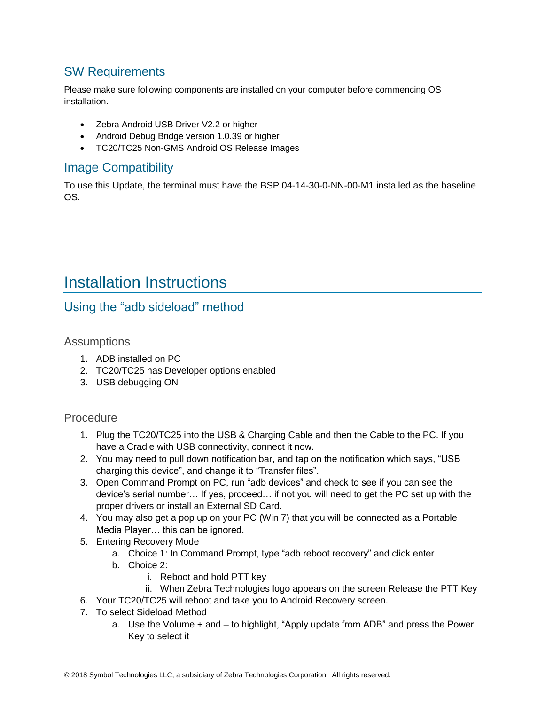### SW Requirements

Please make sure following components are installed on your computer before commencing OS installation.

- Zebra Android USB Driver V2.2 or higher
- Android Debug Bridge version 1.0.39 or higher
- TC20/TC25 Non-GMS Android OS Release Images

### Image Compatibility

To use this Update, the terminal must have the BSP 04-14-30-0-NN-00-M1 installed as the baseline OS.

## <span id="page-3-0"></span>Installation Instructions

#### Using the "adb sideload" method

**Assumptions** 

- 1. ADB installed on PC
- 2. TC20/TC25 has Developer options enabled
- 3. USB debugging ON

#### Procedure

- 1. Plug the TC20/TC25 into the USB & Charging Cable and then the Cable to the PC. If you have a Cradle with USB connectivity, connect it now.
- 2. You may need to pull down notification bar, and tap on the notification which says, "USB charging this device", and change it to "Transfer files".
- 3. Open Command Prompt on PC, run "adb devices" and check to see if you can see the device's serial number… If yes, proceed… if not you will need to get the PC set up with the proper drivers or install an External SD Card.
- 4. You may also get a pop up on your PC (Win 7) that you will be connected as a Portable Media Player… this can be ignored.
- 5. Entering Recovery Mode
	- a. Choice 1: In Command Prompt, type "adb reboot recovery" and click enter.
	- b. Choice 2:
		- i. Reboot and hold PTT key
		- ii. When Zebra Technologies logo appears on the screen Release the PTT Key
- 6. Your TC20/TC25 will reboot and take you to Android Recovery screen.
- 7. To select Sideload Method
	- a. Use the Volume + and to highlight, "Apply update from ADB" and press the Power Key to select it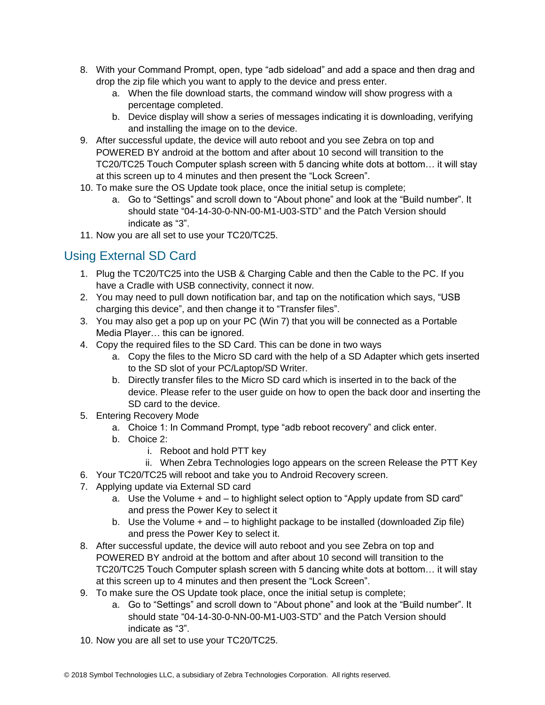- 8. With your Command Prompt, open, type "adb sideload" and add a space and then drag and drop the zip file which you want to apply to the device and press enter.
	- a. When the file download starts, the command window will show progress with a percentage completed.
	- b. Device display will show a series of messages indicating it is downloading, verifying and installing the image on to the device.
- 9. After successful update, the device will auto reboot and you see Zebra on top and POWERED BY android at the bottom and after about 10 second will transition to the TC20/TC25 Touch Computer splash screen with 5 dancing white dots at bottom… it will stay at this screen up to 4 minutes and then present the "Lock Screen".
- 10. To make sure the OS Update took place, once the initial setup is complete;
	- a. Go to "Settings" and scroll down to "About phone" and look at the "Build number". It should state "04-14-30-0-NN-00-M1-U03-STD" and the Patch Version should indicate as "3".
- 11. Now you are all set to use your TC20/TC25.

### Using External SD Card

- 1. Plug the TC20/TC25 into the USB & Charging Cable and then the Cable to the PC. If you have a Cradle with USB connectivity, connect it now.
- 2. You may need to pull down notification bar, and tap on the notification which says, "USB charging this device", and then change it to "Transfer files".
- 3. You may also get a pop up on your PC (Win 7) that you will be connected as a Portable Media Player… this can be ignored.
- 4. Copy the required files to the SD Card. This can be done in two ways
	- a. Copy the files to the Micro SD card with the help of a SD Adapter which gets inserted to the SD slot of your PC/Laptop/SD Writer.
	- b. Directly transfer files to the Micro SD card which is inserted in to the back of the device. Please refer to the user guide on how to open the back door and inserting the SD card to the device.
- 5. Entering Recovery Mode
	- a. Choice 1: In Command Prompt, type "adb reboot recovery" and click enter.
	- b. Choice 2:
		- i. Reboot and hold PTT key
		- ii. When Zebra Technologies logo appears on the screen Release the PTT Key
- 6. Your TC20/TC25 will reboot and take you to Android Recovery screen.
- 7. Applying update via External SD card
	- a. Use the Volume + and to highlight select option to "Apply update from SD card" and press the Power Key to select it
	- b. Use the Volume + and to highlight package to be installed (downloaded Zip file) and press the Power Key to select it.
- 8. After successful update, the device will auto reboot and you see Zebra on top and POWERED BY android at the bottom and after about 10 second will transition to the TC20/TC25 Touch Computer splash screen with 5 dancing white dots at bottom… it will stay at this screen up to 4 minutes and then present the "Lock Screen".
- 9. To make sure the OS Update took place, once the initial setup is complete;
	- a. Go to "Settings" and scroll down to "About phone" and look at the "Build number". It should state "04-14-30-0-NN-00-M1-U03-STD" and the Patch Version should indicate as "3".
- 10. Now you are all set to use your TC20/TC25.